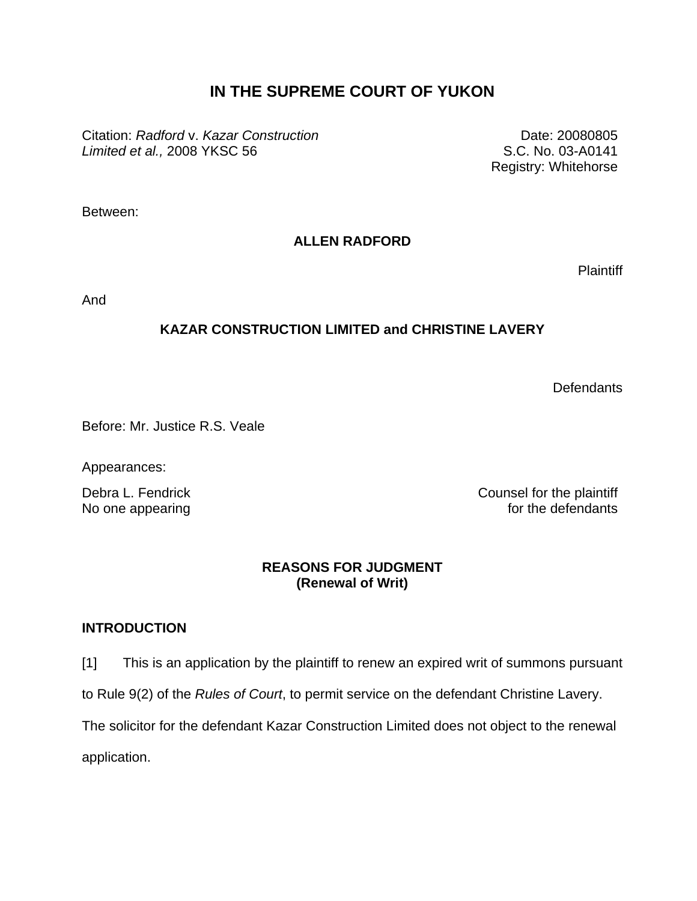# **IN THE SUPREME COURT OF YUKON**

Citation: *Radford* v. *Kazar Construction Limited et al.,* 2008 YKSC 56

Date: 20080805 S.C. No. 03-A0141 Registry: Whitehorse

Between:

# **ALLEN RADFORD**

**Plaintiff** 

And

# **KAZAR CONSTRUCTION LIMITED and CHRISTINE LAVERY**

**Defendants** 

Before: Mr. Justice R.S. Veale

Appearances:

Debra L. Fendrick Counsel for the plaintiff No one appearing **the set of the defendants** for the defendants

### **REASONS FOR JUDGMENT (Renewal of Writ)**

#### **INTRODUCTION**

[1] This is an application by the plaintiff to renew an expired writ of summons pursuant

to Rule 9(2) of the *Rules of Court*, to permit service on the defendant Christine Lavery.

The solicitor for the defendant Kazar Construction Limited does not object to the renewal

application.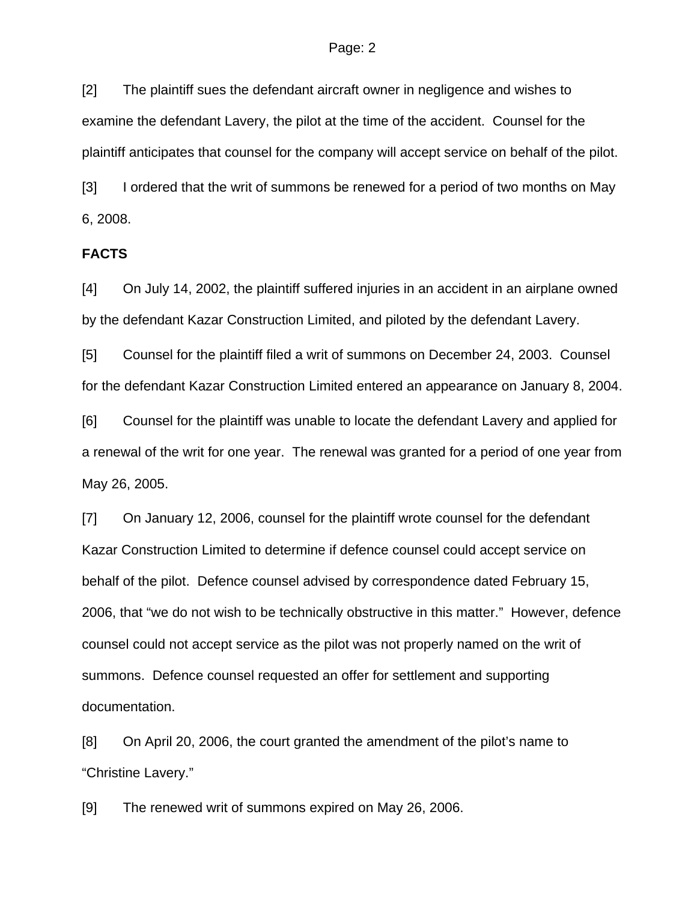#### Page: 2

[2] The plaintiff sues the defendant aircraft owner in negligence and wishes to examine the defendant Lavery, the pilot at the time of the accident. Counsel for the plaintiff anticipates that counsel for the company will accept service on behalf of the pilot.

[3] I ordered that the writ of summons be renewed for a period of two months on May 6, 2008.

#### **FACTS**

[4] On July 14, 2002, the plaintiff suffered injuries in an accident in an airplane owned by the defendant Kazar Construction Limited, and piloted by the defendant Lavery.

[5] Counsel for the plaintiff filed a writ of summons on December 24, 2003. Counsel for the defendant Kazar Construction Limited entered an appearance on January 8, 2004.

[6] Counsel for the plaintiff was unable to locate the defendant Lavery and applied for a renewal of the writ for one year. The renewal was granted for a period of one year from May 26, 2005.

[7] On January 12, 2006, counsel for the plaintiff wrote counsel for the defendant Kazar Construction Limited to determine if defence counsel could accept service on behalf of the pilot. Defence counsel advised by correspondence dated February 15, 2006, that "we do not wish to be technically obstructive in this matter." However, defence counsel could not accept service as the pilot was not properly named on the writ of summons. Defence counsel requested an offer for settlement and supporting documentation.

[8] On April 20, 2006, the court granted the amendment of the pilot's name to "Christine Lavery."

[9] The renewed writ of summons expired on May 26, 2006.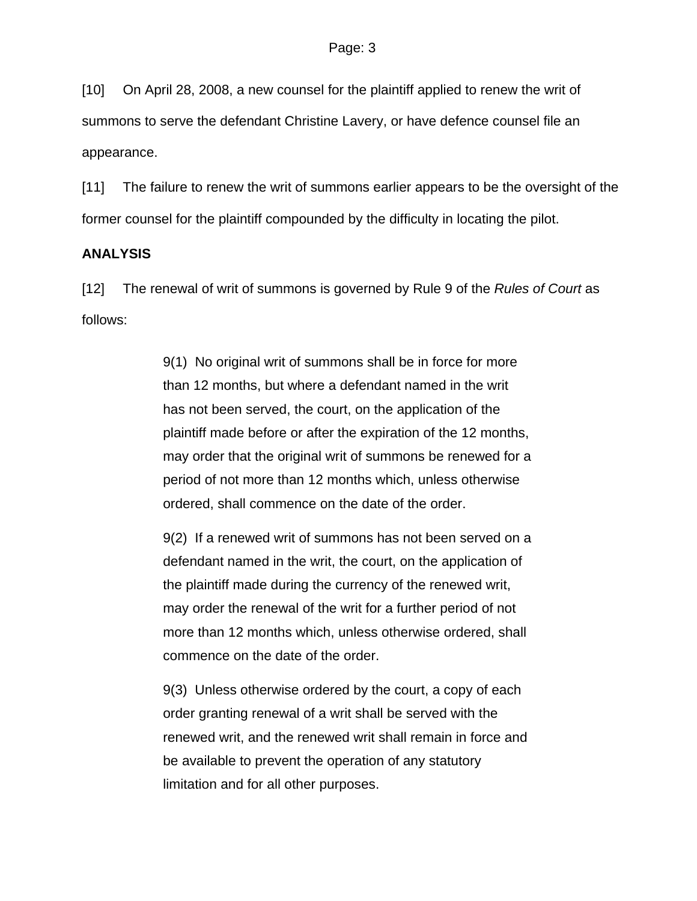[10] On April 28, 2008, a new counsel for the plaintiff applied to renew the writ of summons to serve the defendant Christine Lavery, or have defence counsel file an appearance.

[11] The failure to renew the writ of summons earlier appears to be the oversight of the former counsel for the plaintiff compounded by the difficulty in locating the pilot.

#### **ANALYSIS**

[12] The renewal of writ of summons is governed by Rule 9 of the *Rules of Court* as follows:

> 9(1) No original writ of summons shall be in force for more than 12 months, but where a defendant named in the writ has not been served, the court, on the application of the plaintiff made before or after the expiration of the 12 months, may order that the original writ of summons be renewed for a period of not more than 12 months which, unless otherwise ordered, shall commence on the date of the order.

> 9(2) If a renewed writ of summons has not been served on a defendant named in the writ, the court, on the application of the plaintiff made during the currency of the renewed writ, may order the renewal of the writ for a further period of not more than 12 months which, unless otherwise ordered, shall commence on the date of the order.

9(3) Unless otherwise ordered by the court, a copy of each order granting renewal of a writ shall be served with the renewed writ, and the renewed writ shall remain in force and be available to prevent the operation of any statutory limitation and for all other purposes.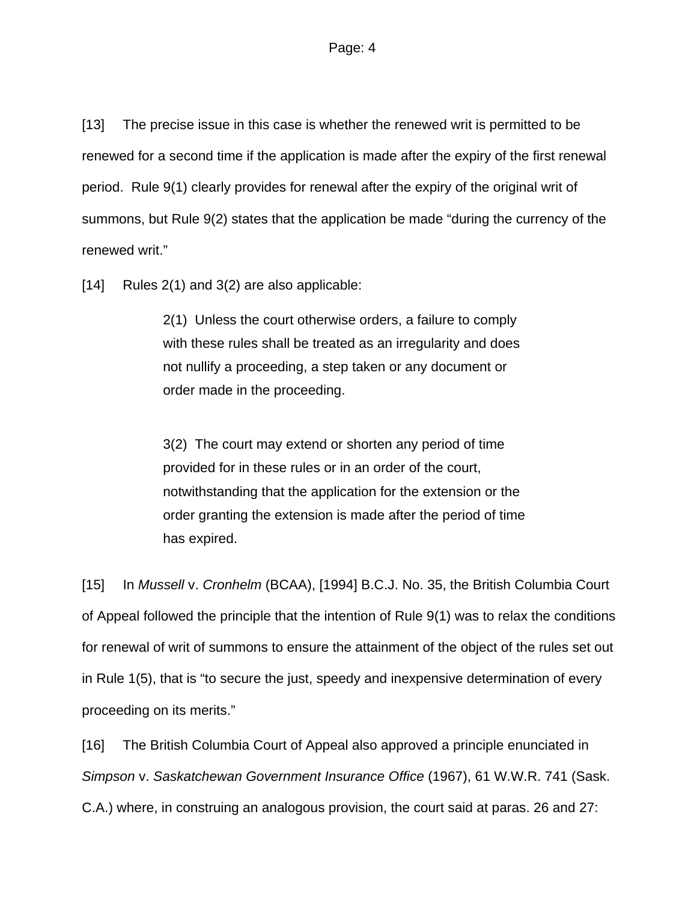[13] The precise issue in this case is whether the renewed writ is permitted to be renewed for a second time if the application is made after the expiry of the first renewal period. Rule 9(1) clearly provides for renewal after the expiry of the original writ of summons, but Rule 9(2) states that the application be made "during the currency of the renewed writ."

[14] Rules 2(1) and 3(2) are also applicable:

2(1) Unless the court otherwise orders, a failure to comply with these rules shall be treated as an irregularity and does not nullify a proceeding, a step taken or any document or order made in the proceeding.

3(2) The court may extend or shorten any period of time provided for in these rules or in an order of the court, notwithstanding that the application for the extension or the order granting the extension is made after the period of time has expired.

[15] In *Mussell* v. *Cronhelm* (BCAA), [1994] B.C.J. No. 35, the British Columbia Court of Appeal followed the principle that the intention of Rule 9(1) was to relax the conditions for renewal of writ of summons to ensure the attainment of the object of the rules set out in Rule 1(5), that is "to secure the just, speedy and inexpensive determination of every proceeding on its merits."

[16] The British Columbia Court of Appeal also approved a principle enunciated in *Simpson* v. *Saskatchewan Government Insurance Office* (1967), 61 W.W.R. 741 (Sask. C.A.) where, in construing an analogous provision, the court said at paras. 26 and 27: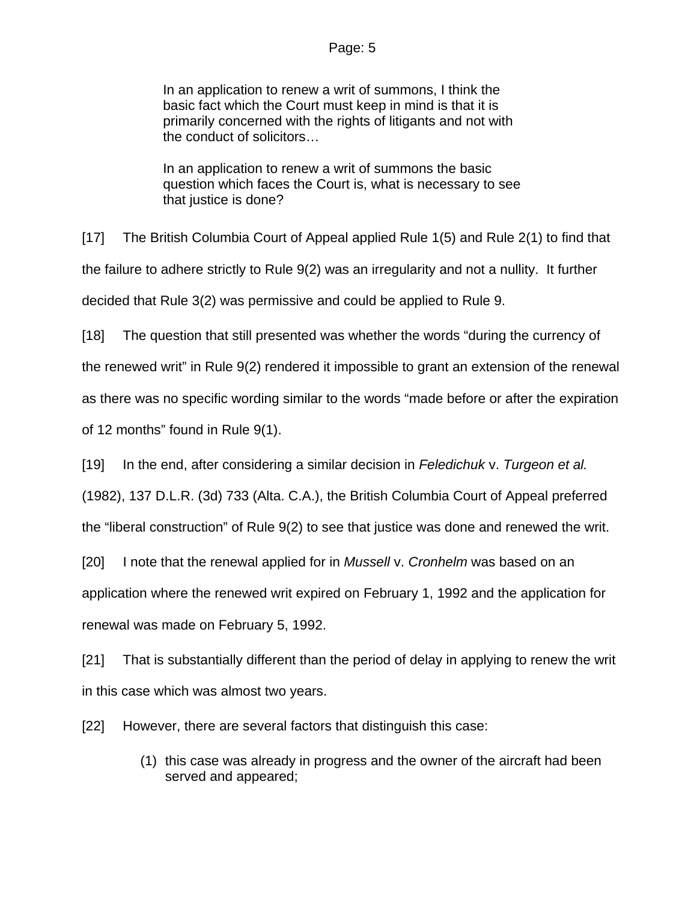#### Page: 5

In an application to renew a writ of summons, I think the basic fact which the Court must keep in mind is that it is primarily concerned with the rights of litigants and not with the conduct of solicitors…

In an application to renew a writ of summons the basic question which faces the Court is, what is necessary to see that justice is done?

[17] The British Columbia Court of Appeal applied Rule 1(5) and Rule 2(1) to find that the failure to adhere strictly to Rule 9(2) was an irregularity and not a nullity. It further decided that Rule 3(2) was permissive and could be applied to Rule 9.

[18] The question that still presented was whether the words "during the currency of the renewed writ" in Rule 9(2) rendered it impossible to grant an extension of the renewal as there was no specific wording similar to the words "made before or after the expiration of 12 months" found in Rule 9(1).

[19] In the end, after considering a similar decision in *Feledichuk* v. *Turgeon et al.*

(1982), 137 D.L.R. (3d) 733 (Alta. C.A.), the British Columbia Court of Appeal preferred

the "liberal construction" of Rule 9(2) to see that justice was done and renewed the writ.

[20] I note that the renewal applied for in *Mussell* v. *Cronhelm* was based on an application where the renewed writ expired on February 1, 1992 and the application for renewal was made on February 5, 1992.

[21] That is substantially different than the period of delay in applying to renew the writ in this case which was almost two years.

[22] However, there are several factors that distinguish this case:

(1) this case was already in progress and the owner of the aircraft had been served and appeared;